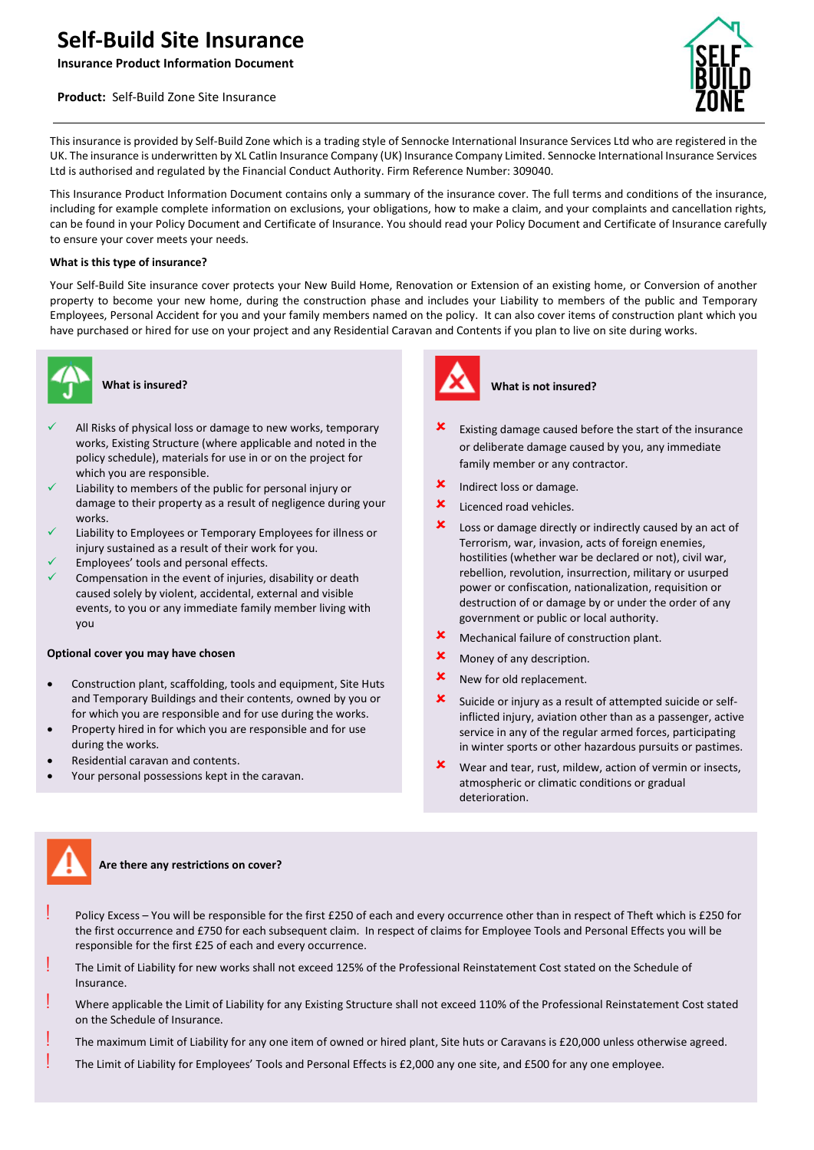# **Self-Build Site Insurance**

**Insurance Product Information Document**

## **Product:** Self-Build Zone Site Insurance



This insurance is provided by Self-Build Zone which is a trading style of Sennocke International Insurance Services Ltd who are registered in the UK. The insurance is underwritten by XL Catlin Insurance Company (UK) Insurance Company Limited. Sennocke International Insurance Services Ltd is authorised and regulated by the Financial Conduct Authority. Firm Reference Number: 309040.

This Insurance Product Information Document contains only a summary of the insurance cover. The full terms and conditions of the insurance, including for example complete information on exclusions, your obligations, how to make a claim, and your complaints and cancellation rights, can be found in your Policy Document and Certificate of Insurance. You should read your Policy Document and Certificate of Insurance carefully to ensure your cover meets your needs.

#### **What is this type of insurance?**

Your Self-Build Site insurance cover protects your New Build Home, Renovation or Extension of an existing home, or Conversion of another property to become your new home, during the construction phase and includes your Liability to members of the public and Temporary Employees, Personal Accident for you and your family members named on the policy. It can also cover items of construction plant which you have purchased or hired for use on your project and any Residential Caravan and Contents if you plan to live on site during works.



## **What is insured?**

- All Risks of physical loss or damage to new works, temporary works, Existing Structure (where applicable and noted in the policy schedule), materials for use in or on the project for which you are responsible.
- Liability to members of the public for personal injury or damage to their property as a result of negligence during your works.
- Liability to Employees or Temporary Employees for illness or injury sustained as a result of their work for you.
- Employees' tools and personal effects.
- Compensation in the event of injuries, disability or death caused solely by violent, accidental, external and visible events, to you or any immediate family member living with you

#### **Optional cover you may have chosen**

- Construction plant, scaffolding, tools and equipment, Site Huts and Temporary Buildings and their contents, owned by you or for which you are responsible and for use during the works.
- Property hired in for which you are responsible and for use during the works.
- Residential caravan and contents.
- Your personal possessions kept in the caravan.



#### **What is not insured?**

- Existing damage caused before the start of the insurance or deliberate damage caused by you, any immediate family member or any contractor.
- **x** Indirect loss or damage.
- $x$  Licenced road vehicles.
- Loss or damage directly or indirectly caused by an act of Terrorism, war, invasion, acts of foreign enemies, hostilities (whether war be declared or not), civil war, rebellion, revolution, insurrection, military or usurped power or confiscation, nationalization, requisition or destruction of or damage by or under the order of any government or public or local authority.
- Mechanical failure of construction plant.
- **x** Money of any description.
- **x** New for old replacement.
- $\boldsymbol{\times}$  Suicide or injury as a result of attempted suicide or selfinflicted injury, aviation other than as a passenger, active service in any of the regular armed forces, participating in winter sports or other hazardous pursuits or pastimes.
- Wear and tear, rust, mildew, action of vermin or insects, atmospheric or climatic conditions or gradual deterioration.



#### **Are there any restrictions on cover?**

- Policy Excess You will be responsible for the first £250 of each and every occurrence other than in respect of Theft which is £250 for the first occurrence and £750 for each subsequent claim. In respect of claims for Employee Tools and Personal Effects you will be responsible for the first £25 of each and every occurrence.
- The Limit of Liability for new works shall not exceed 125% of the Professional Reinstatement Cost stated on the Schedule of Insurance.
- ! Where applicable the Limit of Liability for any Existing Structure shall not exceed 110% of the Professional Reinstatement Cost stated on the Schedule of Insurance.
- The maximum Limit of Liability for any one item of owned or hired plant, Site huts or Caravans is £20,000 unless otherwise agreed.
- ! The Limit of Liability for Employees' Tools and Personal Effects is £2,000 any one site, and £500 for any one employee.